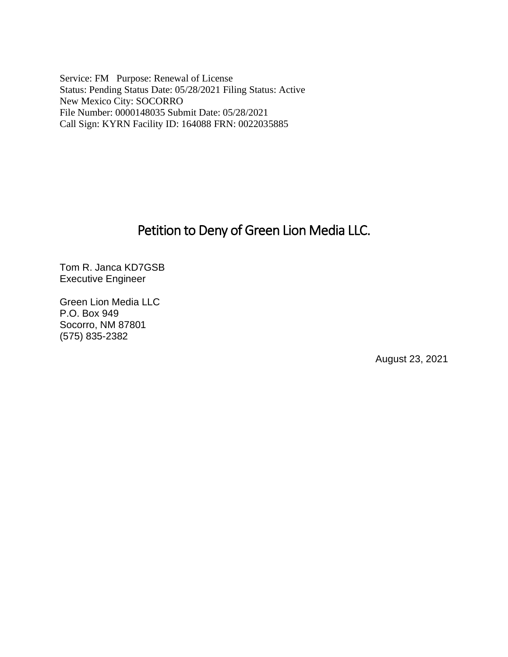Service: FM Purpose: Renewal of License Status: Pending Status Date: 05/28/2021 Filing Status: Active New Mexico City: SOCORRO File Number: 0000148035 Submit Date: 05/28/2021 Call Sign: KYRN Facility ID: 164088 FRN: 0022035885

# Petition to Deny of Green Lion Media LLC.

Tom R. Janca KD7GSB Executive Engineer

Green Lion Media LLC P.O. Box 949 Socorro, NM 87801 (575) 835-2382

August 23, 2021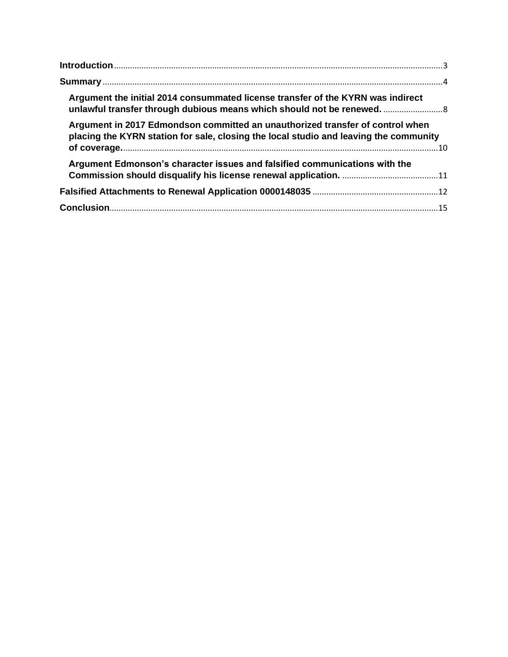| Argument the initial 2014 consummated license transfer of the KYRN was indirect<br>unlawful transfer through dubious means which should not be renewed                 |  |
|------------------------------------------------------------------------------------------------------------------------------------------------------------------------|--|
| Argument in 2017 Edmondson committed an unauthorized transfer of control when<br>placing the KYRN station for sale, closing the local studio and leaving the community |  |
| Argument Edmonson's character issues and falsified communications with the                                                                                             |  |
|                                                                                                                                                                        |  |
|                                                                                                                                                                        |  |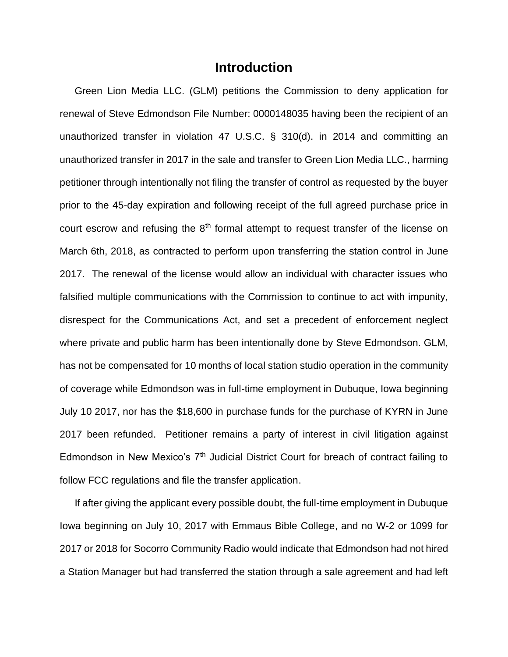## **Introduction**

<span id="page-2-0"></span>Green Lion Media LLC. (GLM) petitions the Commission to deny application for renewal of Steve Edmondson File Number: 0000148035 having been the recipient of an unauthorized transfer in violation 47 U.S.C. § 310(d). in 2014 and committing an unauthorized transfer in 2017 in the sale and transfer to Green Lion Media LLC., harming petitioner through intentionally not filing the transfer of control as requested by the buyer prior to the 45-day expiration and following receipt of the full agreed purchase price in court escrow and refusing the  $8<sup>th</sup>$  formal attempt to request transfer of the license on March 6th, 2018, as contracted to perform upon transferring the station control in June 2017. The renewal of the license would allow an individual with character issues who falsified multiple communications with the Commission to continue to act with impunity, disrespect for the Communications Act, and set a precedent of enforcement neglect where private and public harm has been intentionally done by Steve Edmondson. GLM, has not be compensated for 10 months of local station studio operation in the community of coverage while Edmondson was in full-time employment in Dubuque, Iowa beginning July 10 2017, nor has the \$18,600 in purchase funds for the purchase of KYRN in June 2017 been refunded. Petitioner remains a party of interest in civil litigation against Edmondson in New Mexico's  $7<sup>th</sup>$  Judicial District Court for breach of contract failing to follow FCC regulations and file the transfer application.

If after giving the applicant every possible doubt, the full-time employment in Dubuque Iowa beginning on July 10, 2017 with Emmaus Bible College, and no W-2 or 1099 for 2017 or 2018 for Socorro Community Radio would indicate that Edmondson had not hired a Station Manager but had transferred the station through a sale agreement and had left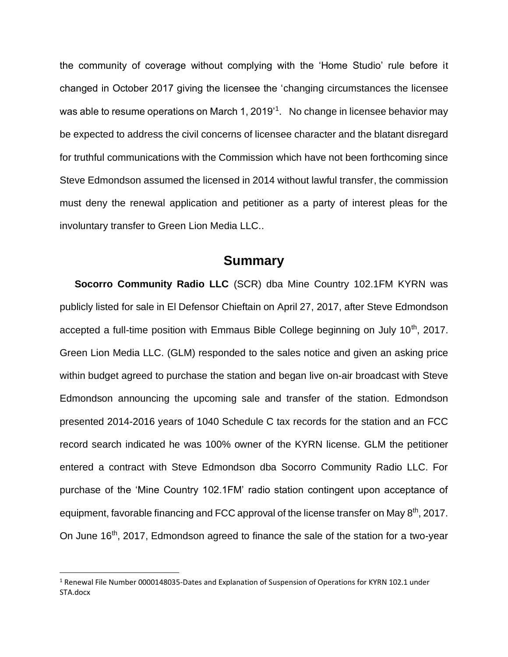the community of coverage without complying with the 'Home Studio' rule before it changed in October 2017 giving the licensee the 'changing circumstances the licensee was able to resume operations on March 1, 2019'<sup>1</sup>. No change in licensee behavior may be expected to address the civil concerns of licensee character and the blatant disregard for truthful communications with the Commission which have not been forthcoming since Steve Edmondson assumed the licensed in 2014 without lawful transfer, the commission must deny the renewal application and petitioner as a party of interest pleas for the involuntary transfer to Green Lion Media LLC..

### **Summary**

<span id="page-3-0"></span>**Socorro Community Radio LLC** (SCR) dba Mine Country 102.1FM KYRN was publicly listed for sale in El Defensor Chieftain on April 27, 2017, after Steve Edmondson accepted a full-time position with Emmaus Bible College beginning on July 10<sup>th</sup>, 2017. Green Lion Media LLC. (GLM) responded to the sales notice and given an asking price within budget agreed to purchase the station and began live on-air broadcast with Steve Edmondson announcing the upcoming sale and transfer of the station. Edmondson presented 2014-2016 years of 1040 Schedule C tax records for the station and an FCC record search indicated he was 100% owner of the KYRN license. GLM the petitioner entered a contract with Steve Edmondson dba Socorro Community Radio LLC. For purchase of the 'Mine Country 102.1FM' radio station contingent upon acceptance of equipment, favorable financing and FCC approval of the license transfer on May 8<sup>th</sup>, 2017. On June 16<sup>th</sup>, 2017, Edmondson agreed to finance the sale of the station for a two-year

<sup>1</sup> Renewal File Number 0000148035-Dates and Explanation of Suspension of Operations for KYRN 102.1 under STA.docx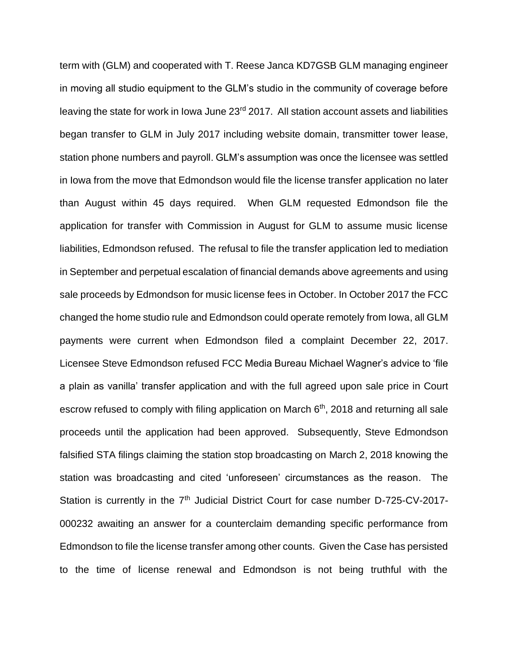term with (GLM) and cooperated with T. Reese Janca KD7GSB GLM managing engineer in moving all studio equipment to the GLM's studio in the community of coverage before leaving the state for work in Iowa June 23<sup>rd</sup> 2017. All station account assets and liabilities began transfer to GLM in July 2017 including website domain, transmitter tower lease, station phone numbers and payroll. GLM's assumption was once the licensee was settled in Iowa from the move that Edmondson would file the license transfer application no later than August within 45 days required. When GLM requested Edmondson file the application for transfer with Commission in August for GLM to assume music license liabilities, Edmondson refused. The refusal to file the transfer application led to mediation in September and perpetual escalation of financial demands above agreements and using sale proceeds by Edmondson for music license fees in October. In October 2017 the FCC changed the home studio rule and Edmondson could operate remotely from Iowa, all GLM payments were current when Edmondson filed a complaint December 22, 2017. Licensee Steve Edmondson refused FCC Media Bureau Michael Wagner's advice to 'file a plain as vanilla' transfer application and with the full agreed upon sale price in Court escrow refused to comply with filing application on March  $6<sup>th</sup>$ , 2018 and returning all sale proceeds until the application had been approved. Subsequently, Steve Edmondson falsified STA filings claiming the station stop broadcasting on March 2, 2018 knowing the station was broadcasting and cited 'unforeseen' circumstances as the reason. The Station is currently in the 7<sup>th</sup> Judicial District Court for case number D-725-CV-2017-000232 awaiting an answer for a counterclaim demanding specific performance from Edmondson to file the license transfer among other counts. Given the Case has persisted to the time of license renewal and Edmondson is not being truthful with the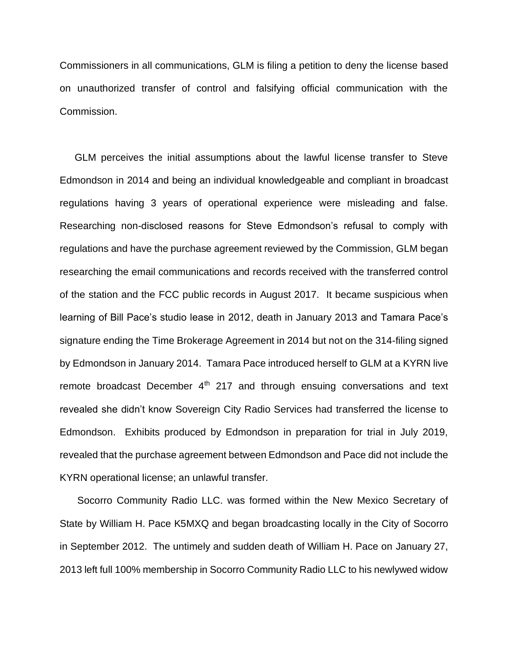Commissioners in all communications, GLM is filing a petition to deny the license based on unauthorized transfer of control and falsifying official communication with the Commission.

GLM perceives the initial assumptions about the lawful license transfer to Steve Edmondson in 2014 and being an individual knowledgeable and compliant in broadcast regulations having 3 years of operational experience were misleading and false. Researching non-disclosed reasons for Steve Edmondson's refusal to comply with regulations and have the purchase agreement reviewed by the Commission, GLM began researching the email communications and records received with the transferred control of the station and the FCC public records in August 2017. It became suspicious when learning of Bill Pace's studio lease in 2012, death in January 2013 and Tamara Pace's signature ending the Time Brokerage Agreement in 2014 but not on the 314-filing signed by Edmondson in January 2014. Tamara Pace introduced herself to GLM at a KYRN live remote broadcast December  $4<sup>th</sup>$  217 and through ensuing conversations and text revealed she didn't know Sovereign City Radio Services had transferred the license to Edmondson. Exhibits produced by Edmondson in preparation for trial in July 2019, revealed that the purchase agreement between Edmondson and Pace did not include the KYRN operational license; an unlawful transfer.

Socorro Community Radio LLC. was formed within the New Mexico Secretary of State by William H. Pace K5MXQ and began broadcasting locally in the City of Socorro in September 2012. The untimely and sudden death of William H. Pace on January 27, 2013 left full 100% membership in Socorro Community Radio LLC to his newlywed widow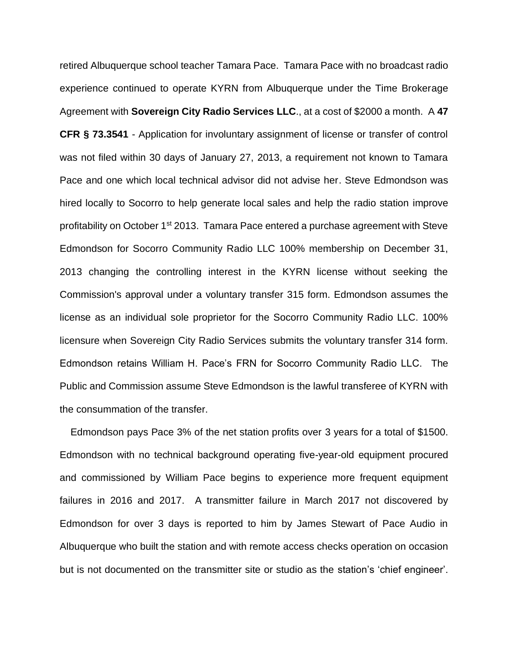retired Albuquerque school teacher Tamara Pace. Tamara Pace with no broadcast radio experience continued to operate KYRN from Albuquerque under the Time Brokerage Agreement with **Sovereign City Radio Services LLC**., at a cost of \$2000 a month. A **47 CFR § 73.3541** - Application for involuntary assignment of license or transfer of control was not filed within 30 days of January 27, 2013, a requirement not known to Tamara Pace and one which local technical advisor did not advise her. Steve Edmondson was hired locally to Socorro to help generate local sales and help the radio station improve profitability on October 1<sup>st</sup> 2013. Tamara Pace entered a purchase agreement with Steve Edmondson for Socorro Community Radio LLC 100% membership on December 31, 2013 changing the controlling interest in the KYRN license without seeking the Commission's approval under a voluntary transfer 315 form. Edmondson assumes the license as an individual sole proprietor for the Socorro Community Radio LLC. 100% licensure when Sovereign City Radio Services submits the voluntary transfer 314 form. Edmondson retains William H. Pace's FRN for Socorro Community Radio LLC. The Public and Commission assume Steve Edmondson is the lawful transferee of KYRN with the consummation of the transfer.

 Edmondson pays Pace 3% of the net station profits over 3 years for a total of \$1500. Edmondson with no technical background operating five-year-old equipment procured and commissioned by William Pace begins to experience more frequent equipment failures in 2016 and 2017. A transmitter failure in March 2017 not discovered by Edmondson for over 3 days is reported to him by James Stewart of Pace Audio in Albuquerque who built the station and with remote access checks operation on occasion but is not documented on the transmitter site or studio as the station's 'chief engineer'.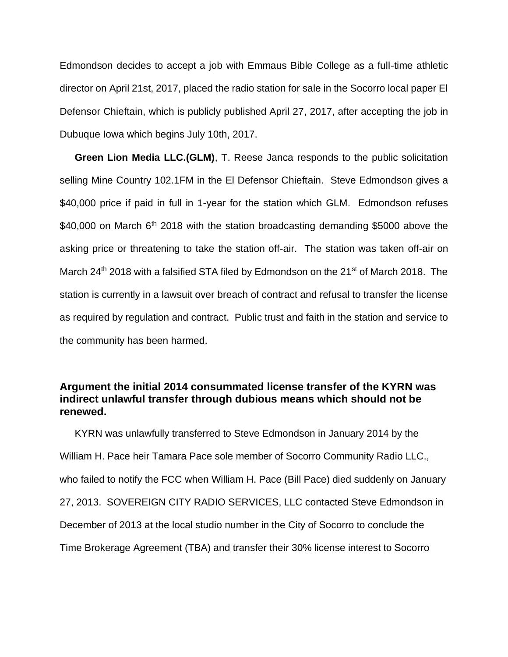Edmondson decides to accept a job with Emmaus Bible College as a full-time athletic director on April 21st, 2017, placed the radio station for sale in the Socorro local paper El Defensor Chieftain, which is publicly published April 27, 2017, after accepting the job in Dubuque Iowa which begins July 10th, 2017.

**Green Lion Media LLC.(GLM)**, T. Reese Janca responds to the public solicitation selling Mine Country 102.1FM in the El Defensor Chieftain. Steve Edmondson gives a \$40,000 price if paid in full in 1-year for the station which GLM. Edmondson refuses \$40,000 on March  $6<sup>th</sup>$  2018 with the station broadcasting demanding \$5000 above the asking price or threatening to take the station off-air. The station was taken off-air on March 24<sup>th</sup> 2018 with a falsified STA filed by Edmondson on the 21<sup>st</sup> of March 2018. The station is currently in a lawsuit over breach of contract and refusal to transfer the license as required by regulation and contract. Public trust and faith in the station and service to the community has been harmed.

#### <span id="page-7-0"></span>**Argument the initial 2014 consummated license transfer of the KYRN was indirect unlawful transfer through dubious means which should not be renewed.**

KYRN was unlawfully transferred to Steve Edmondson in January 2014 by the William H. Pace heir Tamara Pace sole member of Socorro Community Radio LLC., who failed to notify the FCC when William H. Pace (Bill Pace) died suddenly on January 27, 2013. SOVEREIGN CITY RADIO SERVICES, LLC contacted Steve Edmondson in December of 2013 at the local studio number in the City of Socorro to conclude the Time Brokerage Agreement (TBA) and transfer their 30% license interest to Socorro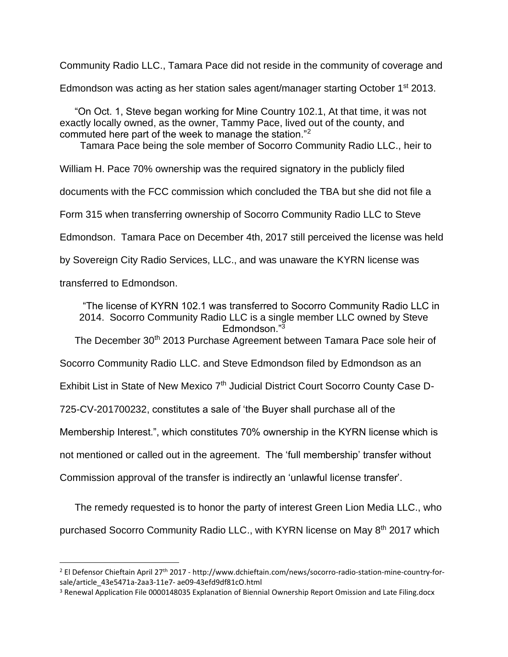Community Radio LLC., Tamara Pace did not reside in the community of coverage and

Edmondson was acting as her station sales agent/manager starting October 1<sup>st</sup> 2013.

"On Oct. 1, Steve began working for Mine Country 102.1, At that time, it was not exactly locally owned, as the owner, Tammy Pace, lived out of the county, and commuted here part of the week to manage the station."<sup>2</sup>

Tamara Pace being the sole member of Socorro Community Radio LLC., heir to

William H. Pace 70% ownership was the required signatory in the publicly filed

documents with the FCC commission which concluded the TBA but she did not file a

Form 315 when transferring ownership of Socorro Community Radio LLC to Steve

Edmondson. Tamara Pace on December 4th, 2017 still perceived the license was held

by Sovereign City Radio Services, LLC., and was unaware the KYRN license was

transferred to Edmondson.

"The license of KYRN 102.1 was transferred to Socorro Community Radio LLC in 2014. Socorro Community Radio LLC is a single member LLC owned by Steve Edmondson."<sup>3</sup>

The December 30<sup>th</sup> 2013 Purchase Agreement between Tamara Pace sole heir of

Socorro Community Radio LLC. and Steve Edmondson filed by Edmondson as an

Exhibit List in State of New Mexico 7<sup>th</sup> Judicial District Court Socorro County Case D-

725-CV-201700232, constitutes a sale of 'the Buyer shall purchase all of the

Membership Interest.", which constitutes 70% ownership in the KYRN license which is

not mentioned or called out in the agreement. The 'full membership' transfer without

Commission approval of the transfer is indirectly an 'unlawful license transfer'.

The remedy requested is to honor the party of interest Green Lion Media LLC., who purchased Socorro Community Radio LLC., with KYRN license on May 8<sup>th</sup> 2017 which

<sup>2</sup> El Defensor Chieftain April 27th 2017 - http://www.dchieftain.com/news/socorro-radio-station-mine-country-forsale/article\_43e5471a-2aa3-11e7- ae09-43efd9df81cO.html

<sup>&</sup>lt;sup>3</sup> Renewal Application File 0000148035 Explanation of Biennial Ownership Report Omission and Late Filing.docx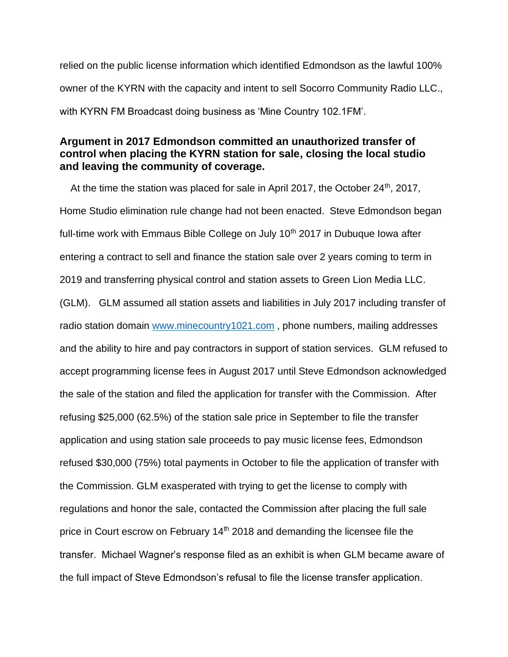relied on the public license information which identified Edmondson as the lawful 100% owner of the KYRN with the capacity and intent to sell Socorro Community Radio LLC., with KYRN FM Broadcast doing business as 'Mine Country 102.1FM'.

#### <span id="page-9-0"></span>**Argument in 2017 Edmondson committed an unauthorized transfer of control when placing the KYRN station for sale, closing the local studio and leaving the community of coverage.**

At the time the station was placed for sale in April 2017, the October  $24<sup>th</sup>$ , 2017, Home Studio elimination rule change had not been enacted. Steve Edmondson began full-time work with Emmaus Bible College on July  $10<sup>th</sup>$  2017 in Dubuque Iowa after entering a contract to sell and finance the station sale over 2 years coming to term in 2019 and transferring physical control and station assets to Green Lion Media LLC. (GLM). GLM assumed all station assets and liabilities in July 2017 including transfer of radio station domain [www.minecountry1021.com](http://www.minecountry1021.com/), phone numbers, mailing addresses and the ability to hire and pay contractors in support of station services. GLM refused to accept programming license fees in August 2017 until Steve Edmondson acknowledged the sale of the station and filed the application for transfer with the Commission. After refusing \$25,000 (62.5%) of the station sale price in September to file the transfer application and using station sale proceeds to pay music license fees, Edmondson refused \$30,000 (75%) total payments in October to file the application of transfer with the Commission. GLM exasperated with trying to get the license to comply with regulations and honor the sale, contacted the Commission after placing the full sale price in Court escrow on February 14<sup>th</sup> 2018 and demanding the licensee file the transfer. Michael Wagner's response filed as an exhibit is when GLM became aware of the full impact of Steve Edmondson's refusal to file the license transfer application.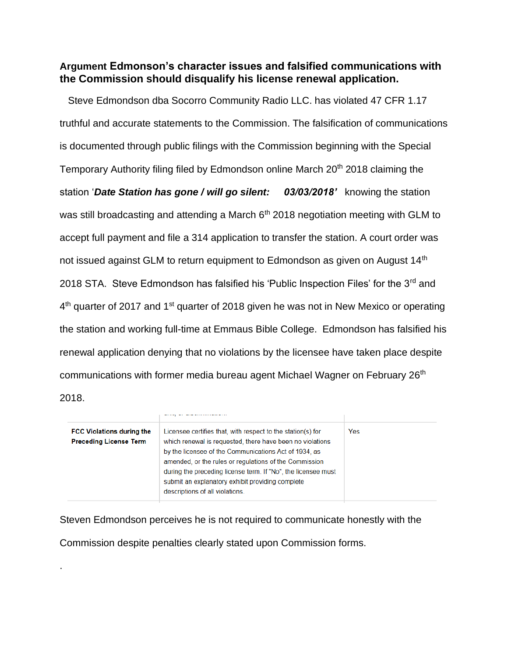#### <span id="page-10-0"></span>**Argument Edmonson's character issues and falsified communications with the Commission should disqualify his license renewal application.**

 Steve Edmondson dba Socorro Community Radio LLC. has violated 47 CFR 1.17 truthful and accurate statements to the Commission. The falsification of communications is documented through public filings with the Commission beginning with the Special Temporary Authority filing filed by Edmondson online March 20<sup>th</sup> 2018 claiming the station '*Date Station has gone / will go silent: 03/03/2018'* knowing the station was still broadcasting and attending a March  $6<sup>th</sup>$  2018 negotiation meeting with GLM to accept full payment and file a 314 application to transfer the station. A court order was not issued against GLM to return equipment to Edmondson as given on August 14<sup>th</sup> 2018 STA. Steve Edmondson has falsified his 'Public Inspection Files' for the 3<sup>rd</sup> and 4<sup>th</sup> quarter of 2017 and 1<sup>st</sup> quarter of 2018 given he was not in New Mexico or operating the station and working full-time at Emmaus Bible College. Edmondson has falsified his renewal application denying that no violations by the licensee have taken place despite communications with former media bureau agent Michael Wagner on February 26<sup>th</sup>

2018.

.

| <b>FCC Violations during the</b><br><b>Preceding License Term</b> | Licensee certifies that, with respect to the station(s) for<br>which renewal is requested, there have been no violations<br>by the licensee of the Communications Act of 1934, as<br>amended, or the rules or regulations of the Commission<br>during the preceding license term. If "No", the licensee must<br>submit an explanatory exhibit providing complete<br>descriptions of all violations. | Yes |
|-------------------------------------------------------------------|-----------------------------------------------------------------------------------------------------------------------------------------------------------------------------------------------------------------------------------------------------------------------------------------------------------------------------------------------------------------------------------------------------|-----|

Steven Edmondson perceives he is not required to communicate honestly with the Commission despite penalties clearly stated upon Commission forms.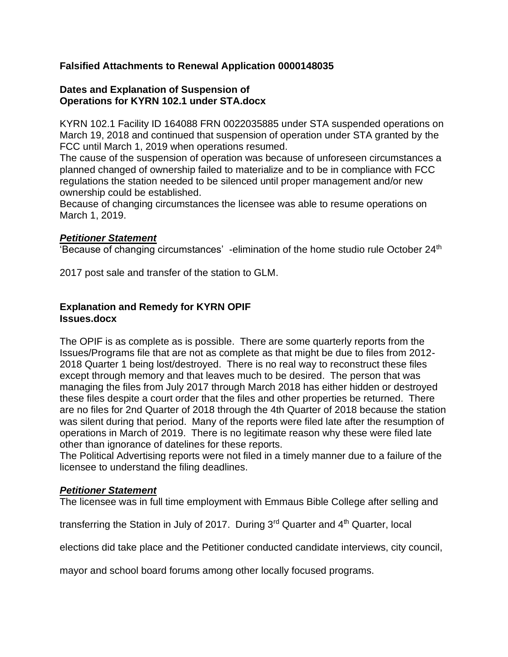#### <span id="page-11-0"></span>**Falsified Attachments to Renewal Application 0000148035**

#### **Dates and Explanation of Suspension of Operations for KYRN 102.1 under STA.docx**

KYRN 102.1 Facility ID 164088 FRN 0022035885 under STA suspended operations on March 19, 2018 and continued that suspension of operation under STA granted by the FCC until March 1, 2019 when operations resumed.

The cause of the suspension of operation was because of unforeseen circumstances a planned changed of ownership failed to materialize and to be in compliance with FCC regulations the station needed to be silenced until proper management and/or new ownership could be established.

Because of changing circumstances the licensee was able to resume operations on March 1, 2019.

#### *Petitioner Statement*

'Because of changing circumstances' -elimination of the home studio rule October 24<sup>th</sup>

2017 post sale and transfer of the station to GLM.

#### **Explanation and Remedy for KYRN OPIF Issues.docx**

The OPIF is as complete as is possible. There are some quarterly reports from the Issues/Programs file that are not as complete as that might be due to files from 2012- 2018 Quarter 1 being lost/destroyed. There is no real way to reconstruct these files except through memory and that leaves much to be desired. The person that was managing the files from July 2017 through March 2018 has either hidden or destroyed these files despite a court order that the files and other properties be returned. There are no files for 2nd Quarter of 2018 through the 4th Quarter of 2018 because the station was silent during that period. Many of the reports were filed late after the resumption of operations in March of 2019. There is no legitimate reason why these were filed late other than ignorance of datelines for these reports.

The Political Advertising reports were not filed in a timely manner due to a failure of the licensee to understand the filing deadlines.

#### *Petitioner Statement*

The licensee was in full time employment with Emmaus Bible College after selling and

transferring the Station in July of 2017. During 3<sup>rd</sup> Quarter and 4<sup>th</sup> Quarter, local

elections did take place and the Petitioner conducted candidate interviews, city council,

mayor and school board forums among other locally focused programs.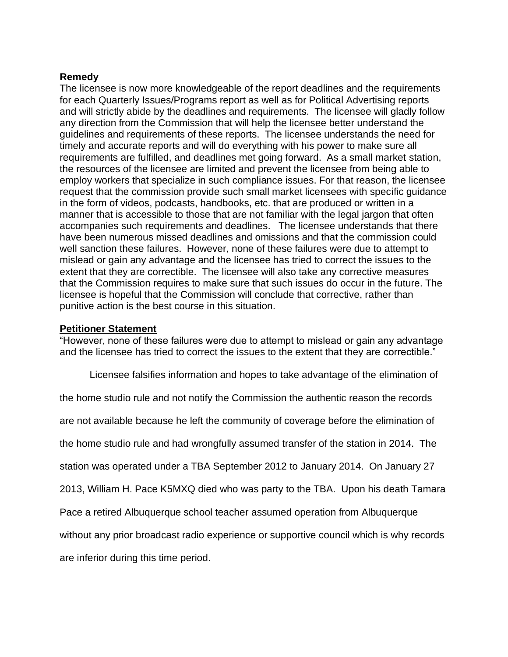#### **Remedy**

The licensee is now more knowledgeable of the report deadlines and the requirements for each Quarterly Issues/Programs report as well as for Political Advertising reports and will strictly abide by the deadlines and requirements. The licensee will gladly follow any direction from the Commission that will help the licensee better understand the guidelines and requirements of these reports. The licensee understands the need for timely and accurate reports and will do everything with his power to make sure all requirements are fulfilled, and deadlines met going forward. As a small market station, the resources of the licensee are limited and prevent the licensee from being able to employ workers that specialize in such compliance issues. For that reason, the licensee request that the commission provide such small market licensees with specific guidance in the form of videos, podcasts, handbooks, etc. that are produced or written in a manner that is accessible to those that are not familiar with the legal jargon that often accompanies such requirements and deadlines. The licensee understands that there have been numerous missed deadlines and omissions and that the commission could well sanction these failures. However, none of these failures were due to attempt to mislead or gain any advantage and the licensee has tried to correct the issues to the extent that they are correctible. The licensee will also take any corrective measures that the Commission requires to make sure that such issues do occur in the future. The licensee is hopeful that the Commission will conclude that corrective, rather than punitive action is the best course in this situation.

#### **Petitioner Statement**

"However, none of these failures were due to attempt to mislead or gain any advantage and the licensee has tried to correct the issues to the extent that they are correctible."

Licensee falsifies information and hopes to take advantage of the elimination of

the home studio rule and not notify the Commission the authentic reason the records

are not available because he left the community of coverage before the elimination of

the home studio rule and had wrongfully assumed transfer of the station in 2014. The

station was operated under a TBA September 2012 to January 2014. On January 27

2013, William H. Pace K5MXQ died who was party to the TBA. Upon his death Tamara

Pace a retired Albuquerque school teacher assumed operation from Albuquerque

without any prior broadcast radio experience or supportive council which is why records

are inferior during this time period.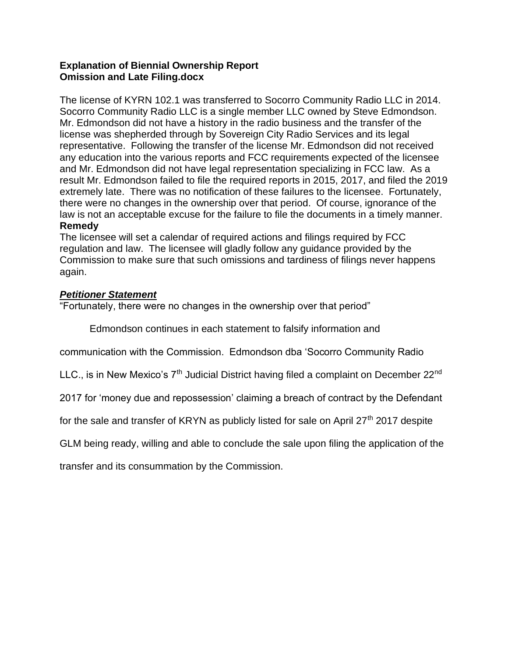#### **Explanation of Biennial Ownership Report Omission and Late Filing.docx**

The license of KYRN 102.1 was transferred to Socorro Community Radio LLC in 2014. Socorro Community Radio LLC is a single member LLC owned by Steve Edmondson. Mr. Edmondson did not have a history in the radio business and the transfer of the license was shepherded through by Sovereign City Radio Services and its legal representative. Following the transfer of the license Mr. Edmondson did not received any education into the various reports and FCC requirements expected of the licensee and Mr. Edmondson did not have legal representation specializing in FCC law. As a result Mr. Edmondson failed to file the required reports in 2015, 2017, and filed the 2019 extremely late. There was no notification of these failures to the licensee. Fortunately, there were no changes in the ownership over that period. Of course, ignorance of the law is not an acceptable excuse for the failure to file the documents in a timely manner.

#### **Remedy**

The licensee will set a calendar of required actions and filings required by FCC regulation and law. The licensee will gladly follow any guidance provided by the Commission to make sure that such omissions and tardiness of filings never happens again.

#### *Petitioner Statement*

"Fortunately, there were no changes in the ownership over that period"

Edmondson continues in each statement to falsify information and

communication with the Commission. Edmondson dba 'Socorro Community Radio

LLC., is in New Mexico's  $7<sup>th</sup>$  Judicial District having filed a complaint on December 22<sup>nd</sup>

2017 for 'money due and repossession' claiming a breach of contract by the Defendant

for the sale and transfer of KRYN as publicly listed for sale on April  $27<sup>th</sup>$  2017 despite

GLM being ready, willing and able to conclude the sale upon filing the application of the

transfer and its consummation by the Commission.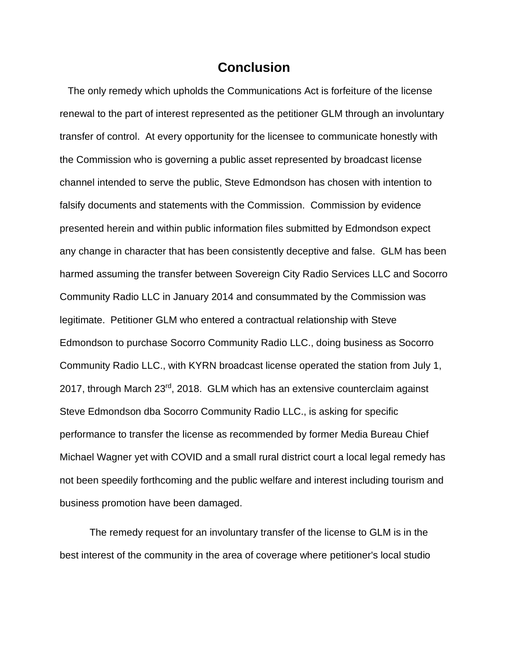## **Conclusion**

<span id="page-14-0"></span> The only remedy which upholds the Communications Act is forfeiture of the license renewal to the part of interest represented as the petitioner GLM through an involuntary transfer of control. At every opportunity for the licensee to communicate honestly with the Commission who is governing a public asset represented by broadcast license channel intended to serve the public, Steve Edmondson has chosen with intention to falsify documents and statements with the Commission. Commission by evidence presented herein and within public information files submitted by Edmondson expect any change in character that has been consistently deceptive and false. GLM has been harmed assuming the transfer between Sovereign City Radio Services LLC and Socorro Community Radio LLC in January 2014 and consummated by the Commission was legitimate. Petitioner GLM who entered a contractual relationship with Steve Edmondson to purchase Socorro Community Radio LLC., doing business as Socorro Community Radio LLC., with KYRN broadcast license operated the station from July 1, 2017, through March 23<sup>rd</sup>, 2018. GLM which has an extensive counterclaim against Steve Edmondson dba Socorro Community Radio LLC., is asking for specific performance to transfer the license as recommended by former Media Bureau Chief Michael Wagner yet with COVID and a small rural district court a local legal remedy has not been speedily forthcoming and the public welfare and interest including tourism and business promotion have been damaged.

The remedy request for an involuntary transfer of the license to GLM is in the best interest of the community in the area of coverage where petitioner's local studio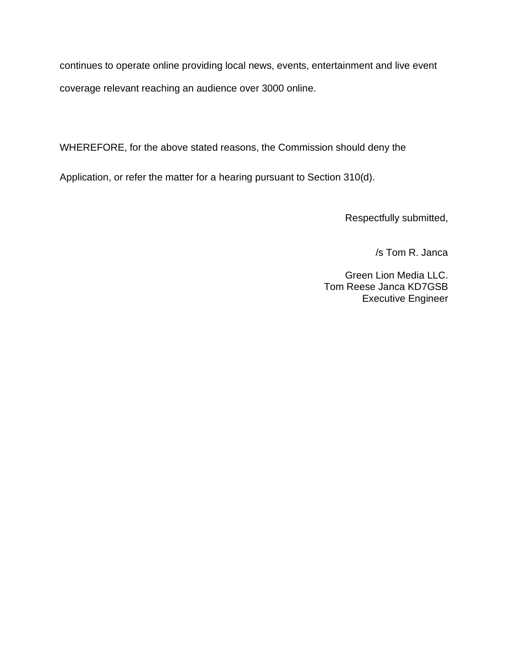continues to operate online providing local news, events, entertainment and live event coverage relevant reaching an audience over 3000 online.

WHEREFORE, for the above stated reasons, the Commission should deny the

Application, or refer the matter for a hearing pursuant to Section 310(d).

Respectfully submitted,

/s Tom R. Janca

Green Lion Media LLC. Tom Reese Janca KD7GSB Executive Engineer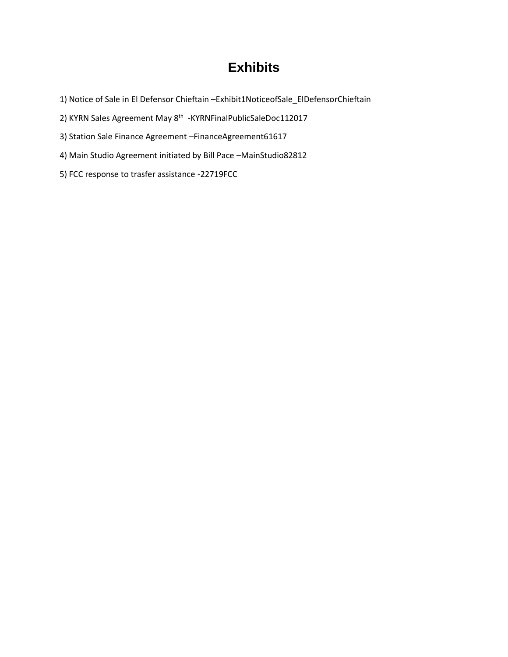# **Exhibits**

- 1) Notice of Sale in El Defensor Chieftain –Exhibit1NoticeofSale\_ElDefensorChieftain
- 2) KYRN Sales Agreement May 8<sup>th</sup> -KYRNFinalPublicSaleDoc112017
- 3) Station Sale Finance Agreement –FinanceAgreement61617
- 4) Main Studio Agreement initiated by Bill Pace –MainStudio82812
- 5) FCC response to trasfer assistance -22719FCC